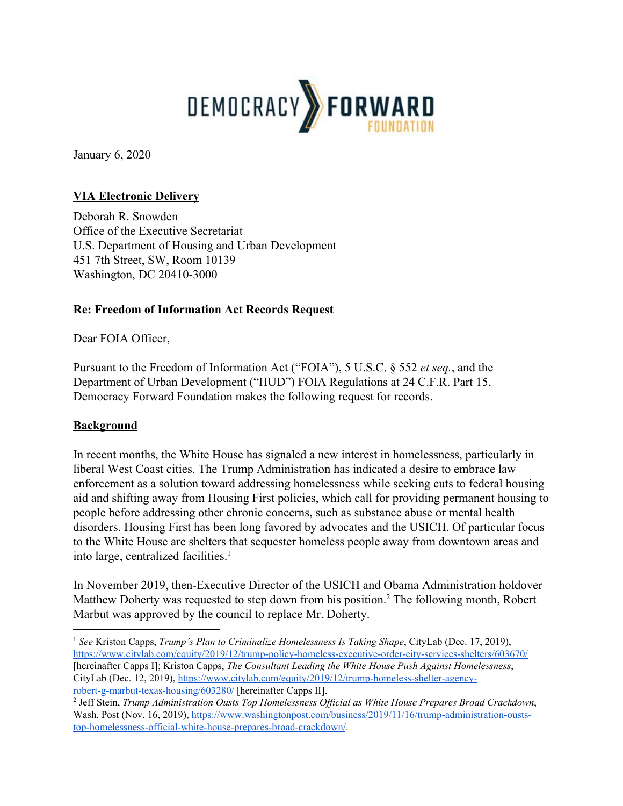

January 6, 2020

## **VIA Electronic Delivery**

Deborah R. Snowden Office of the Executive Secretariat U.S. Department of Housing and Urban Development 451 7th Street, SW, Room 10139 Washington, DC 20410-3000

## **Re: Freedom of Information Act Records Request**

Dear FOIA Officer,

Pursuant to the Freedom of Information Act ("FOIA"), 5 U.S.C. § 552 *et seq.*, and the Department of Urban Development ("HUD") FOIA Regulations at 24 C.F.R. Part 15, Democracy Forward Foundation makes the following request for records.

### **Background**

In recent months, the White House has signaled a new interest in homelessness, particularly in liberal West Coast cities. The Trump Administration has indicated a desire to embrace law enforcement as a solution toward addressing homelessness while seeking cuts to federal housing aid and shifting away from Housing First policies, which call for providing permanent housing to people before addressing other chronic concerns, such as substance abuse or mental health disorders. Housing First has been long favored by advocates and the USICH. Of particular focus to the White House are shelters that sequester homeless people away from downtown areas and into large, centralized facilities. $<sup>1</sup>$ </sup>

In November 2019, then-Executive Director of the USICH and Obama Administration holdover Matthew Doherty was requested to step down from his position.<sup>2</sup> The following month, Robert Marbut was approved by the council to replace Mr. Doherty.

<sup>1</sup> *See* Kriston Capps, *Trump's Plan to Criminalize Homelessness Is Taking Shape*, CityLab (Dec. 17, 2019), <https://www.citylab.com/equity/2019/12/trump-policy-homeless-executive-order-city-services-shelters/603670/> [hereinafter Capps I]; Kriston Capps, *The Consultant Leading the White House Push Against Homelessness*, CityLab (Dec. 12, 2019), [https://www.citylab.com/equity/2019/12/trump-homeless-shelter-agency](https://www.citylab.com/equity/2019/12/trump-homeless-shelter-agency-robert-g-marbut-texas-housing/603280/)[robert-g-marbut-texas-housing/603280/](https://www.citylab.com/equity/2019/12/trump-homeless-shelter-agency-robert-g-marbut-texas-housing/603280/) [hereinafter Capps II].

<sup>2</sup> Jeff Stein, *Trump Administration Ousts Top Homelessness Of icial as White House Prepares Broad Crackdown*, Wash. Post (Nov. 16, 2019), [https://www.washingtonpost.com/business/2019/11/16/trump-administration-ousts](https://www.washingtonpost.com/business/2019/11/16/trump-administration-ousts-top-homelessness-official-white-house-prepares-broad-crackdown/)[top-homelessness-official-white-house-prepares-broad-crackdown/](https://www.washingtonpost.com/business/2019/11/16/trump-administration-ousts-top-homelessness-official-white-house-prepares-broad-crackdown/).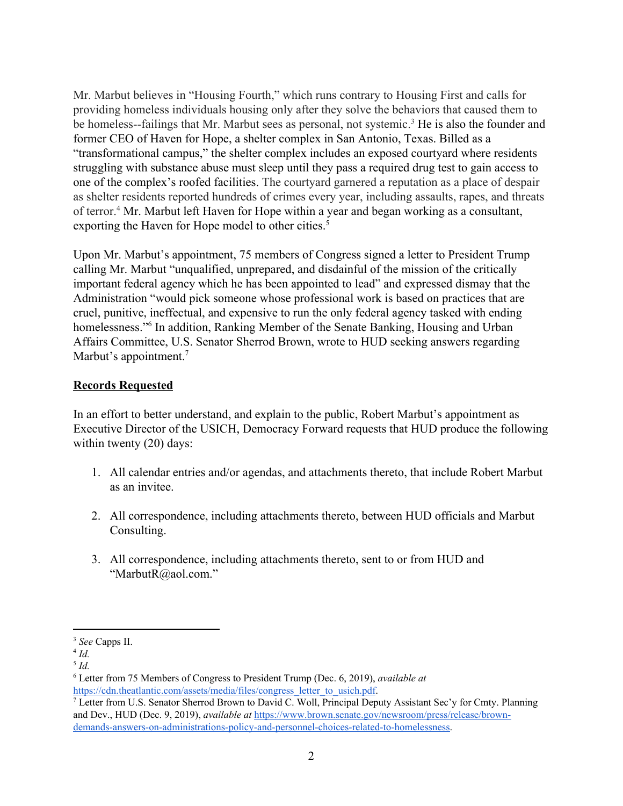Mr. Marbut believes in "Housing Fourth," which runs contrary to Housing First and calls for providing homeless individuals housing only after they solve the behaviors that caused them to be homeless--failings that Mr. Marbut sees as personal, not systemic.<sup>3</sup> He is also the founder and former CEO of Haven for Hope, a shelter complex in San Antonio, Texas. Billed as a "transformational campus," the shelter complex includes an exposed courtyard where residents struggling with substance abuse must sleep until they pass a required drug test to gain access to one of the complex's roofed facilities. The courtyard garnered a reputation as a place of despair as shelter residents reported hundreds of crimes every year, including assaults, rapes, and threats of terror.<sup>4</sup> Mr. Marbut left Haven for Hope within a year and began working as a consultant, exporting the Haven for Hope model to other cities.<sup>5</sup>

Upon Mr. Marbut's appointment, 75 members of Congress signed a letter to President Trump calling Mr. Marbut "unqualified, unprepared, and disdainful of the mission of the critically important federal agency which he has been appointed to lead" and expressed dismay that the Administration "would pick someone whose professional work is based on practices that are cruel, punitive, ineffectual, and expensive to run the only federal agency tasked with ending homelessness."<sup>6</sup> In addition, Ranking Member of the Senate Banking, Housing and Urban Affairs Committee, U.S. Senator Sherrod Brown, wrote to HUD seeking answers regarding Marbut's appointment.<sup>7</sup>

#### **Records Requested**

In an effort to better understand, and explain to the public, Robert Marbut's appointment as Executive Director of the USICH, Democracy Forward requests that HUD produce the following within twenty (20) days:

- 1. All calendar entries and/or agendas, and attachments thereto, that include Robert Marbut as an invitee.
- 2. All correspondence, including attachments thereto, between HUD officials and Marbut Consulting.
- 3. All correspondence, including attachments thereto, sent to or from HUD and "MarbutR@aol.com."

<sup>3</sup> *See* Capps II.

<sup>4</sup> *Id.*

<sup>5</sup> *Id.*

<sup>6</sup> Letter from 75 Members of Congress to President Trump (Dec. 6, 2019), *available at* [https://cdn.theatlantic.com/assets/media/files/congress\\_letter\\_to\\_usich.pdf](https://cdn.theatlantic.com/assets/media/files/congress_letter_to_usich.pdf).

<sup>7</sup> Letter from U.S. Senator Sherrod Brown to David C. Woll, Principal Deputy Assistant Sec'y for Cmty. Planning and Dev., HUD (Dec. 9, 2019), *available at* [https://www.brown.senate.gov/newsroom/press/release/brown](https://www.brown.senate.gov/newsroom/press/release/brown-demands-answers-on-administrations-policy-and-personnel-choices-related-to-homelessness)[demands-answers-on-administrations-policy-and-personnel-choices-related-to-homelessness](https://www.brown.senate.gov/newsroom/press/release/brown-demands-answers-on-administrations-policy-and-personnel-choices-related-to-homelessness).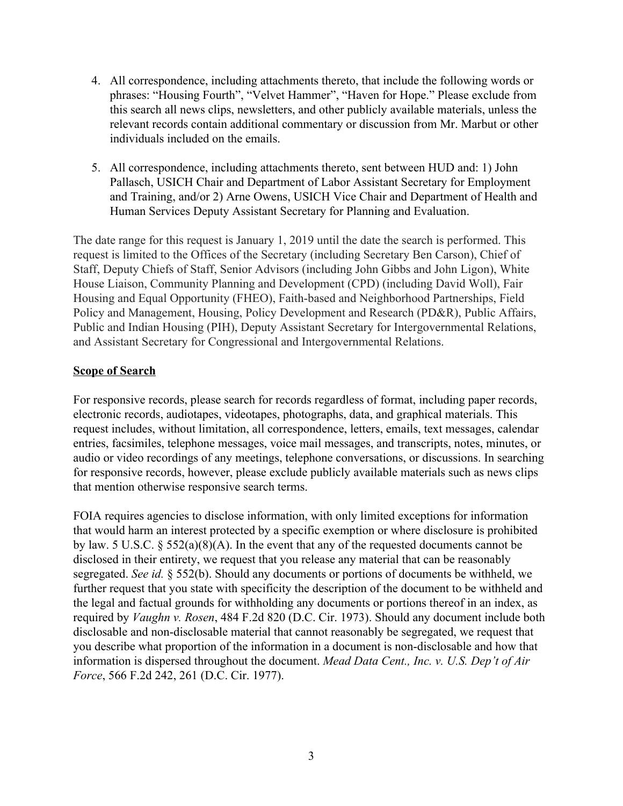- 4. All correspondence, including attachments thereto, that include the following words or phrases: "Housing Fourth", "Velvet Hammer", "Haven for Hope." Please exclude from this search all news clips, newsletters, and other publicly available materials, unless the relevant records contain additional commentary or discussion from Mr. Marbut or other individuals included on the emails.
- 5. All correspondence, including attachments thereto, sent between HUD and: 1) John Pallasch, USICH Chair and Department of Labor Assistant Secretary for Employment and Training, and/or 2) Arne Owens, USICH Vice Chair and Department of Health and Human Services Deputy Assistant Secretary for Planning and Evaluation.

The date range for this request is January 1, 2019 until the date the search is performed. This request is limited to the Offices of the Secretary (including Secretary Ben Carson), Chief of Staff, Deputy Chiefs of Staff, Senior Advisors (including John Gibbs and John Ligon), White House Liaison, Community Planning and Development (CPD) (including David Woll), Fair Housing and Equal Opportunity (FHEO), Faith-based and Neighborhood Partnerships, Field Policy and Management, Housing, Policy Development and Research (PD&R), Public Affairs, Public and Indian Housing (PIH), Deputy Assistant Secretary for Intergovernmental Relations, and Assistant Secretary for Congressional and Intergovernmental Relations.

#### **Scope of Search**

For responsive records, please search for records regardless of format, including paper records, electronic records, audiotapes, videotapes, photographs, data, and graphical materials. This request includes, without limitation, all correspondence, letters, emails, text messages, calendar entries, facsimiles, telephone messages, voice mail messages, and transcripts, notes, minutes, or audio or video recordings of any meetings, telephone conversations, or discussions. In searching for responsive records, however, please exclude publicly available materials such as news clips that mention otherwise responsive search terms.

FOIA requires agencies to disclose information, with only limited exceptions for information that would harm an interest protected by a specific exemption or where disclosure is prohibited by law. 5 U.S.C. § 552(a)(8)(A). In the event that any of the requested documents cannot be disclosed in their entirety, we request that you release any material that can be reasonably segregated. *See id.* § 552(b). Should any documents or portions of documents be withheld, we further request that you state with specificity the description of the document to be withheld and the legal and factual grounds for withholding any documents or portions thereof in an index, as required by *Vaughn v. Rosen*, 484 F.2d 820 (D.C. Cir. 1973). Should any document include both disclosable and non-disclosable material that cannot reasonably be segregated, we request that you describe what proportion of the information in a document is non-disclosable and how that information is dispersed throughout the document. *Mead Data Cent., Inc. v. U.S. Dep't of Air Force*, 566 F.2d 242, 261 (D.C. Cir. 1977).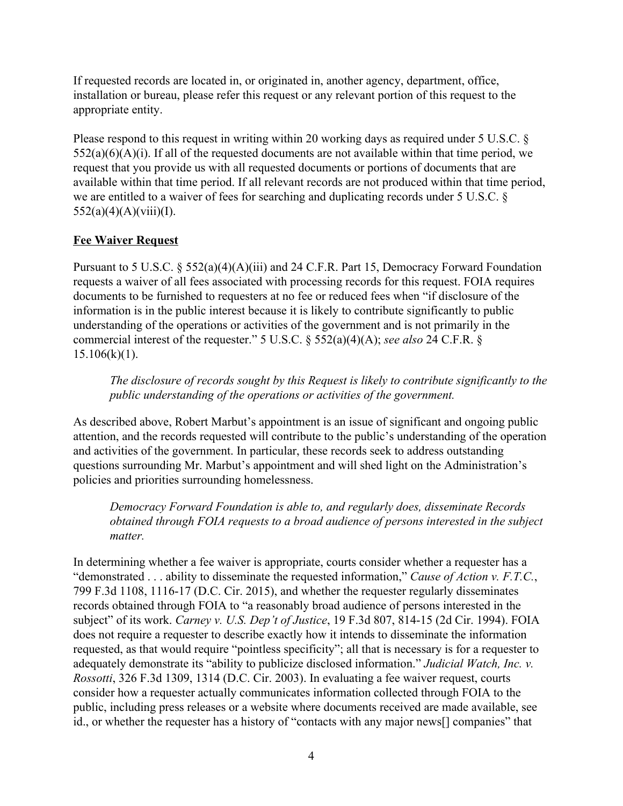If requested records are located in, or originated in, another agency, department, office, installation or bureau, please refer this request or any relevant portion of this request to the appropriate entity.

Please respond to this request in writing within 20 working days as required under 5 U.S.C. §  $552(a)(6)(A)(i)$ . If all of the requested documents are not available within that time period, we request that you provide us with all requested documents or portions of documents that are available within that time period. If all relevant records are not produced within that time period, we are entitled to a waiver of fees for searching and duplicating records under 5 U.S.C. §  $552(a)(4)(A)(viii)(I).$ 

## **Fee Waiver Request**

Pursuant to 5 U.S.C. § 552(a)(4)(A)(iii) and 24 C.F.R. Part 15, Democracy Forward Foundation requests a waiver of all fees associated with processing records for this request. FOIA requires documents to be furnished to requesters at no fee or reduced fees when "if disclosure of the information is in the public interest because it is likely to contribute significantly to public understanding of the operations or activities of the government and is not primarily in the commercial interest of the requester." 5 U.S.C. § 552(a)(4)(A); *see also* 24 C.F.R. §  $15.106(k)(1)$ .

*The disclosure of records sought by this Request is likely to contribute significantly to the public understanding of the operations or activities of the government.*

As described above, Robert Marbut's appointment is an issue of significant and ongoing public attention, and the records requested will contribute to the public's understanding of the operation and activities of the government. In particular, these records seek to address outstanding questions surrounding Mr. Marbut's appointment and will shed light on the Administration's policies and priorities surrounding homelessness.

*Democracy Forward Foundation is able to, and regularly does, disseminate Records obtained through FOIA requests to a broad audience of persons interested in the subject matter.*

In determining whether a fee waiver is appropriate, courts consider whether a requester has a "demonstrated . . . ability to disseminate the requested information," *Cause of Action v. F.T.C.*, 799 F.3d 1108, 1116-17 (D.C. Cir. 2015), and whether the requester regularly disseminates records obtained through FOIA to "a reasonably broad audience of persons interested in the subject" of its work. *Carney v. U.S. Dep't of Justice*, 19 F.3d 807, 814-15 (2d Cir. 1994). FOIA does not require a requester to describe exactly how it intends to disseminate the information requested, as that would require "pointless specificity"; all that is necessary is for a requester to adequately demonstrate its "ability to publicize disclosed information." *Judicial Watch, Inc. v. Rossotti*, 326 F.3d 1309, 1314 (D.C. Cir. 2003). In evaluating a fee waiver request, courts consider how a requester actually communicates information collected through FOIA to the public, including press releases or a website where documents received are made available, see id., or whether the requester has a history of "contacts with any major news[] companies" that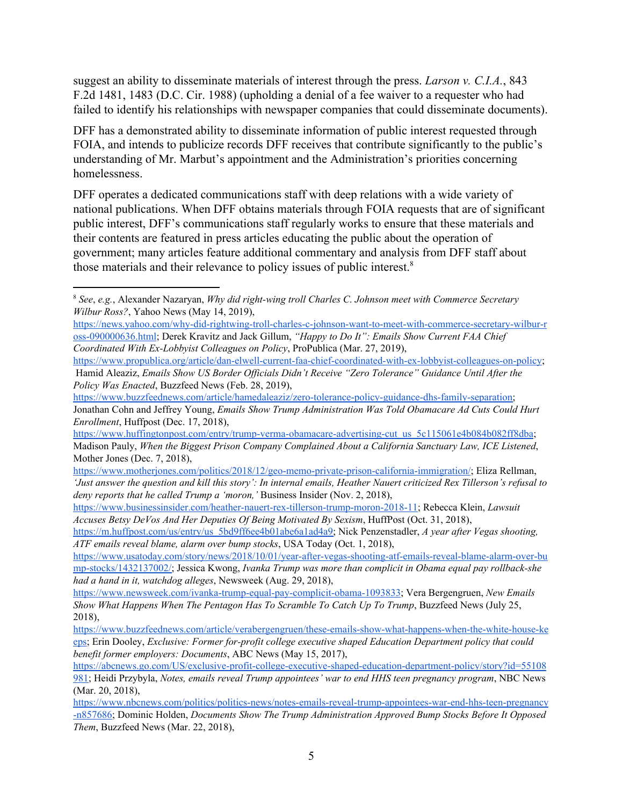suggest an ability to disseminate materials of interest through the press. *Larson v. C.I.A.*, 843 F.2d 1481, 1483 (D.C. Cir. 1988) (upholding a denial of a fee waiver to a requester who had failed to identify his relationships with newspaper companies that could disseminate documents).

DFF has a demonstrated ability to disseminate information of public interest requested through FOIA, and intends to publicize records DFF receives that contribute significantly to the public's understanding of Mr. Marbut's appointment and the Administration's priorities concerning homelessness.

DFF operates a dedicated communications staff with deep relations with a wide variety of national publications. When DFF obtains materials through FOIA requests that are of significant public interest, DFF's communications staff regularly works to ensure that these materials and their contents are featured in press articles educating the public about the operation of government; many articles feature additional commentary and analysis from DFF staff about those materials and their relevance to policy issues of public interest.<sup>8</sup>

<sup>8</sup> *See*, *e.g.*, Alexander Nazaryan, *Why did right-wing troll Charles C. Johnson meet with Commerce Secretary Wilbur Ross?*, Yahoo News (May 14, 2019),

[https://news.yahoo.com/why-did-rightwing-troll-charles-c-johnson-want-to-meet-with-commerce-secretary-wilbur-r](https://news.yahoo.com/why-did-rightwing-troll-charles-c-johnson-want-to-meet-with-commerce-secretary-wilbur-ross-090000636.html) [oss-090000636.html;](https://news.yahoo.com/why-did-rightwing-troll-charles-c-johnson-want-to-meet-with-commerce-secretary-wilbur-ross-090000636.html) Derek Kravitz and Jack Gillum, *"Happy to Do It": Emails Show Current FAA Chief Coordinated With Ex-Lobbyist Colleagues on Policy*, ProPublica (Mar. 27, 2019),

<https://www.propublica.org/article/dan-elwell-current-faa-chief-coordinated-with-ex-lobbyist-colleagues-on-policy>; Hamid Aleaziz, *Emails Show US Border Of icials Didn't Receive "Zero Tolerance" Guidance Until After the Policy Was Enacted*, Buzzfeed News (Feb. 28, 2019),

[https://www.buzzfeednews.com/article/hamedaleaziz/zero-tolerance-policy-guidance-dhs-family-separation;](https://www.buzzfeednews.com/article/hamedaleaziz/zero-tolerance-policy-guidance-dhs-family-separation) Jonathan Cohn and Jeffrey Young, *Emails Show Trump Administration Was Told Obamacare Ad Cuts Could Hurt Enrollment*, Huffpost (Dec. 17, 2018),

[https://www.huffingtonpost.com/entry/trump-verma-obamacare-advertising-cut\\_us\\_5c115061e4b084b082ff8dba](https://www.huffingtonpost.com/entry/trump-verma-obamacare-advertising-cut_us_5c115061e4b084b082ff8dba); Madison Pauly, *When the Biggest Prison Company Complained About a California Sanctuary Law, ICE Listened*, Mother Jones (Dec. 7, 2018),

[https://www.motherjones.com/politics/2018/12/geo-memo-private-prison-california-immigration/;](https://www.motherjones.com/politics/2018/12/geo-memo-private-prison-california-immigration/) Eliza Rellman, 'Just answer the question and kill this story': In internal emails, Heather Nauert criticized Rex Tillerson's refusal to *deny reports that he called Trump a 'moron,'* Business Insider (Nov. 2, 2018),

[https://www.businessinsider.com/heather-nauert-rex-tillerson-trump-moron-2018-11;](https://www.businessinsider.com/heather-nauert-rex-tillerson-trump-moron-2018-11) Rebecca Klein, *Lawsuit Accuses Betsy DeVos And Her Deputies Of Being Motivated By Sexism*, HuffPost (Oct. 31, 2018),

[https://m.huffpost.com/us/entry/us\\_5bd9ff6ee4b01abe6a1ad4a9;](https://m.huffpost.com/us/entry/us_5bd9ff6ee4b01abe6a1ad4a9) Nick Penzenstadler, *A year after Vegas shooting, ATF emails reveal blame, alarm over bump stocks*, USA Today (Oct. 1, 2018),

[https://www.usatoday.com/story/news/2018/10/01/year-after-vegas-shooting-atf-emails-reveal-blame-alarm-over-bu](https://www.usatoday.com/story/news/2018/10/01/year-after-vegas-shooting-atf-emails-reveal-blame-alarm-over-bump-stocks/1432137002/) [mp-stocks/1432137002/;](https://www.usatoday.com/story/news/2018/10/01/year-after-vegas-shooting-atf-emails-reveal-blame-alarm-over-bump-stocks/1432137002/) Jessica Kwong, *Ivanka Trump was more than complicit in Obama equal pay rollback-she had a hand in it, watchdog alleges*, Newsweek (Aug. 29, 2018),

<https://www.newsweek.com/ivanka-trump-equal-pay-complicit-obama-1093833>; Vera Bergengruen, *New Emails Show What Happens When The Pentagon Has To Scramble To Catch Up To Trump*, Buzzfeed News (July 25, 2018),

[https://www.buzzfeednews.com/article/verabergengruen/these-emails-show-what-happens-when-the-white-house-ke](https://www.buzzfeednews.com/article/verabergengruen/these-emails-show-what-happens-when-the-white-house-keeps) [eps;](https://www.buzzfeednews.com/article/verabergengruen/these-emails-show-what-happens-when-the-white-house-keeps) Erin Dooley, *Exclusive: Former for-profit college executive shaped Education Department policy that could benefit former employers: Documents*, ABC News (May 15, 2017),

[https://abcnews.go.com/US/exclusive-profit-college-executive-shaped-education-department-policy/story?id=55108](https://abcnews.go.com/US/exclusive-profit-college-executive-shaped-education-department-policy/story?id=55108981) [981;](https://abcnews.go.com/US/exclusive-profit-college-executive-shaped-education-department-policy/story?id=55108981) Heidi Przybyla, *Notes, emails reveal Trump appointees' war to end HHS teen pregnancy program*, NBC News (Mar. 20, 2018),

[https://www.nbcnews.com/politics/politics-news/notes-emails-reveal-trump-appointees-war-end-hhs-teen-pregnancy](https://www.nbcnews.com/politics/politics-news/notes-emails-reveal-trump-appointees-war-end-hhs-teen-pregnancy-n857686) [-n857686](https://www.nbcnews.com/politics/politics-news/notes-emails-reveal-trump-appointees-war-end-hhs-teen-pregnancy-n857686); Dominic Holden, *Documents Show The Trump Administration Approved Bump Stocks Before It Opposed Them*, Buzzfeed News (Mar. 22, 2018),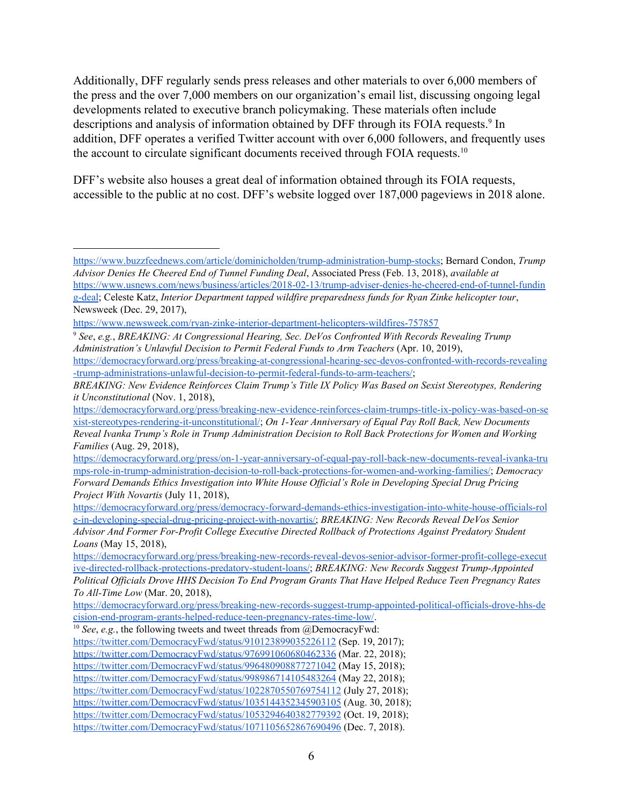Additionally, DFF regularly sends press releases and other materials to over 6,000 members of the press and the over 7,000 members on our organization's email list, discussing ongoing legal developments related to executive branch policymaking. These materials often include descriptions and analysis of information obtained by DFF through its FOIA requests.<sup>9</sup> In addition, DFF operates a verified Twitter account with over 6,000 followers, and frequently uses the account to circulate significant documents received through FOIA requests.<sup>10</sup>

DFF's website also houses a great deal of information obtained through its FOIA requests, accessible to the public at no cost. DFF's website logged over 187,000 pageviews in 2018 alone.

[https://www.buzzfeednews.com/article/dominicholden/trump-administration-bump-stocks;](https://www.buzzfeednews.com/article/dominicholden/trump-administration-bump-stocks) Bernard Condon, *Trump Advisor Denies He Cheered End of Tunnel Funding Deal*, Associated Press (Feb. 13, 2018), *available at*

[https://www.usnews.com/news/business/articles/2018-02-13/trump-adviser-denies-he-cheered-end-of-tunnel-fundin](https://www.usnews.com/news/business/articles/2018-02-13/trump-adviser-denies-he-cheered-end-of-tunnel-funding-deal) [g-deal;](https://www.usnews.com/news/business/articles/2018-02-13/trump-adviser-denies-he-cheered-end-of-tunnel-funding-deal) Celeste Katz, *Interior Department tapped wildfire preparedness funds for Ryan Zinke helicopter tour*, Newsweek (Dec. 29, 2017),

<https://www.newsweek.com/ryan-zinke-interior-department-helicopters-wildfires-757857>.

<sup>9</sup> *See*, *e.g.*, *BREAKING: At Congressional Hearing, Sec. DeVos Confronted With Records Revealing Trump Administration's Unlawful Decision to Permit Federal Funds to Arm Teachers* (Apr. 10, 2019),

[https://democracyforward.org/press/breaking-at-congressional-hearing-sec-devos-confronted-with-records-revealing](https://democracyforward.org/press/breaking-at-congressional-hearing-sec-devos-confronted-with-records-revealing-trump-administrations-unlawful-decision-to-permit-federal-funds-to-arm-teachers/) [-trump-administrations-unlawful-decision-to-permit-federal-funds-to-arm-teachers/;](https://democracyforward.org/press/breaking-at-congressional-hearing-sec-devos-confronted-with-records-revealing-trump-administrations-unlawful-decision-to-permit-federal-funds-to-arm-teachers/)

*BREAKING: New Evidence Reinforces Claim Trump's Title IX Policy Was Based on Sexist Stereotypes, Rendering it Unconstitutional* (Nov. 1, 2018),

[https://democracyforward.org/press/breaking-new-evidence-reinforces-claim-trumps-title-ix-policy-was-based-on-se](https://democracyforward.org/press/breaking-new-evidence-reinforces-claim-trumps-title-ix-policy-was-based-on-sexist-stereotypes-rendering-it-unconstitutional/) [xist-stereotypes-rendering-it-unconstitutional/;](https://democracyforward.org/press/breaking-new-evidence-reinforces-claim-trumps-title-ix-policy-was-based-on-sexist-stereotypes-rendering-it-unconstitutional/) *On 1-Year Anniversary of Equal Pay Roll Back, New Documents Reveal Ivanka Trump's Role in Trump Administration Decision to Roll Back Protections for Women and Working Families* (Aug. 29, 2018),

[https://democracyforward.org/press/on-1-year-anniversary-of-equal-pay-roll-back-new-documents-reveal-ivanka-tru](https://democracyforward.org/press/on-1-year-anniversary-of-equal-pay-roll-back-new-documents-reveal-ivanka-trumps-role-in-trump-administration-decision-to-roll-back-protections-for-women-and-working-families/) [mps-role-in-trump-administration-decision-to-roll-back-protections-for-women-and-working-families/](https://democracyforward.org/press/on-1-year-anniversary-of-equal-pay-roll-back-new-documents-reveal-ivanka-trumps-role-in-trump-administration-decision-to-roll-back-protections-for-women-and-working-families/); *Democracy Forward Demands Ethics Investigation into White House Of icial's Role in Developing Special Drug Pricing Project With Novartis* (July 11, 2018),

[https://democracyforward.org/press/democracy-forward-demands-ethics-investigation-into-white-house-officials-rol](https://democracyforward.org/press/democracy-forward-demands-ethics-investigation-into-white-house-officials-role-in-developing-special-drug-pricing-project-with-novartis/) [e-in-developing-special-drug-pricing-project-with-novartis/](https://democracyforward.org/press/democracy-forward-demands-ethics-investigation-into-white-house-officials-role-in-developing-special-drug-pricing-project-with-novartis/); *BREAKING: New Records Reveal DeVos Senior Advisor And Former For-Profit College Executive Directed Rollback of Protections Against Predatory Student Loans* (May 15, 2018),

[https://democracyforward.org/press/breaking-new-records-reveal-devos-senior-advisor-former-profit-college-execut](https://democracyforward.org/press/breaking-new-records-reveal-devos-senior-advisor-former-profit-college-executive-directed-rollback-protections-predatory-student-loans/) [ive-directed-rollback-protections-predatory-student-loans/](https://democracyforward.org/press/breaking-new-records-reveal-devos-senior-advisor-former-profit-college-executive-directed-rollback-protections-predatory-student-loans/); *BREAKING: New Records Suggest Trump-Appointed Political Of icials Drove HHS Decision To End Program Grants That Have Helped Reduce Teen Pregnancy Rates To All-Time Low* (Mar. 20, 2018),

[https://democracyforward.org/press/breaking-new-records-suggest-trump-appointed-political-officials-drove-hhs-de](https://democracyforward.org/press/breaking-new-records-suggest-trump-appointed-political-officials-drove-hhs-decision-end-program-grants-helped-reduce-teen-pregnancy-rates-time-low/) [cision-end-program-grants-helped-reduce-teen-pregnancy-rates-time-low/.](https://democracyforward.org/press/breaking-new-records-suggest-trump-appointed-political-officials-drove-hhs-decision-end-program-grants-helped-reduce-teen-pregnancy-rates-time-low/)

<sup>&</sup>lt;sup>10</sup> *See*, *e.g.*, the following tweets and tweet threads from @DemocracyFwd:

<https://twitter.com/DemocracyFwd/status/910123899035226112> (Sep. 19, 2017);

<https://twitter.com/DemocracyFwd/status/976991060680462336> (Mar. 22, 2018);

<https://twitter.com/DemocracyFwd/status/996480908877271042> (May 15, 2018);

<https://twitter.com/DemocracyFwd/status/998986714105483264> (May 22, 2018);

<https://twitter.com/DemocracyFwd/status/1022870550769754112> (July 27, 2018);

<https://twitter.com/DemocracyFwd/status/1035144352345903105> (Aug. 30, 2018);

<https://twitter.com/DemocracyFwd/status/1053294640382779392> (Oct. 19, 2018);

<https://twitter.com/DemocracyFwd/status/1071105652867690496> (Dec. 7, 2018).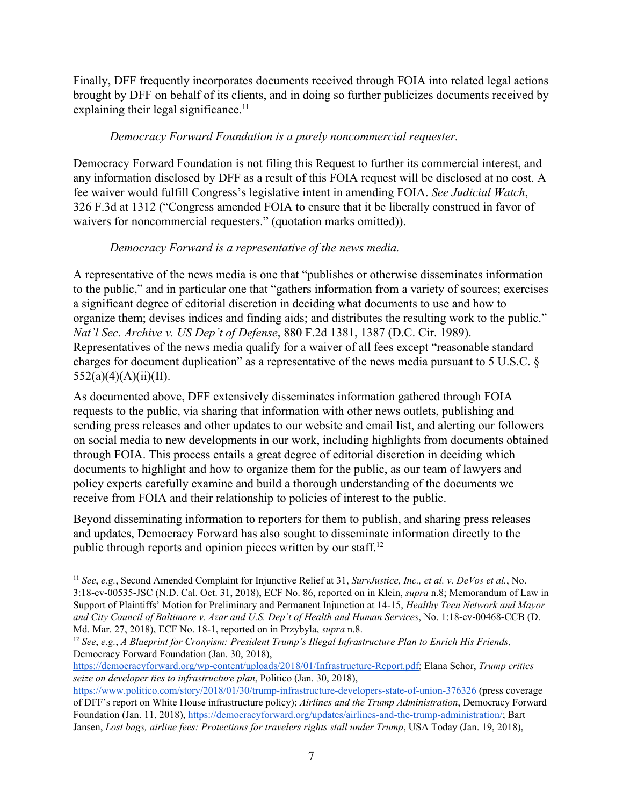Finally, DFF frequently incorporates documents received through FOIA into related legal actions brought by DFF on behalf of its clients, and in doing so further publicizes documents received by explaining their legal significance. $11$ 

## *Democracy Forward Foundation is a purely noncommercial requester.*

Democracy Forward Foundation is not filing this Request to further its commercial interest, and any information disclosed by DFF as a result of this FOIA request will be disclosed at no cost. A fee waiver would fulfill Congress's legislative intent in amending FOIA. *See Judicial Watch*, 326 F.3d at 1312 ("Congress amended FOIA to ensure that it be liberally construed in favor of waivers for noncommercial requesters." (quotation marks omitted)).

# *Democracy Forward is a representative of the news media.*

A representative of the news media is one that "publishes or otherwise disseminates information to the public," and in particular one that "gathers information from a variety of sources; exercises a significant degree of editorial discretion in deciding what documents to use and how to organize them; devises indices and finding aids; and distributes the resulting work to the public." *Nat'l Sec. Archive v. US Dep't of Defense*, 880 F.2d 1381, 1387 (D.C. Cir. 1989). Representatives of the news media qualify for a waiver of all fees except "reasonable standard charges for document duplication" as a representative of the news media pursuant to 5 U.S.C. §  $552(a)(4)(A)(ii)(II).$ 

As documented above, DFF extensively disseminates information gathered through FOIA requests to the public, via sharing that information with other news outlets, publishing and sending press releases and other updates to our website and email list, and alerting our followers on social media to new developments in our work, including highlights from documents obtained through FOIA. This process entails a great degree of editorial discretion in deciding which documents to highlight and how to organize them for the public, as our team of lawyers and policy experts carefully examine and build a thorough understanding of the documents we receive from FOIA and their relationship to policies of interest to the public.

Beyond disseminating information to reporters for them to publish, and sharing press releases and updates, Democracy Forward has also sought to disseminate information directly to the public through reports and opinion pieces written by our staff.<sup>12</sup>

[https://democracyforward.org/wp-content/uploads/2018/01/Infrastructure-Report.pdf;](https://democracyforward.org/wp-content/uploads/2018/01/Infrastructure-Report.pdf) Elana Schor, *Trump critics seize on developer ties to infrastructure plan*, Politico (Jan. 30, 2018),

<sup>11</sup> *See*, *e.g.*, Second Amended Complaint for Injunctive Relief at 31, *SurvJustice, Inc., et al. v. DeVos et al.*, No. 3:18-cv-00535-JSC (N.D. Cal. Oct. 31, 2018), ECF No. 86, reported on in Klein, *supra* n.8; Memorandum of Law in Support of Plaintiffs' Motion for Preliminary and Permanent Injunction at 14-15, *Healthy Teen Network and Mayor and City Council of Baltimore v. Azar and U.S. Dep't of Health and Human Services*, No. 1:18-cv-00468-CCB (D. Md. Mar. 27, 2018), ECF No. 18-1, reported on in Przybyla, *supra* n.8.

<sup>12</sup> *See*, *e.g.*, *A Blueprint for Cronyism: President Trump's Illegal Infrastructure Plan to Enrich His Friends*, Democracy Forward Foundation (Jan. 30, 2018),

<https://www.politico.com/story/2018/01/30/trump-infrastructure-developers-state-of-union-376326> (press coverage of DFF's report on White House infrastructure policy); *Airlines and the Trump Administration*, Democracy Forward Foundation (Jan. 11, 2018), [https://democracyforward.org/updates/airlines-and-the-trump-administration/;](https://democracyforward.org/updates/airlines-and-the-trump-administration/) Bart Jansen, *Lost bags, airline fees: Protections for travelers rights stall under Trump*, USA Today (Jan. 19, 2018),